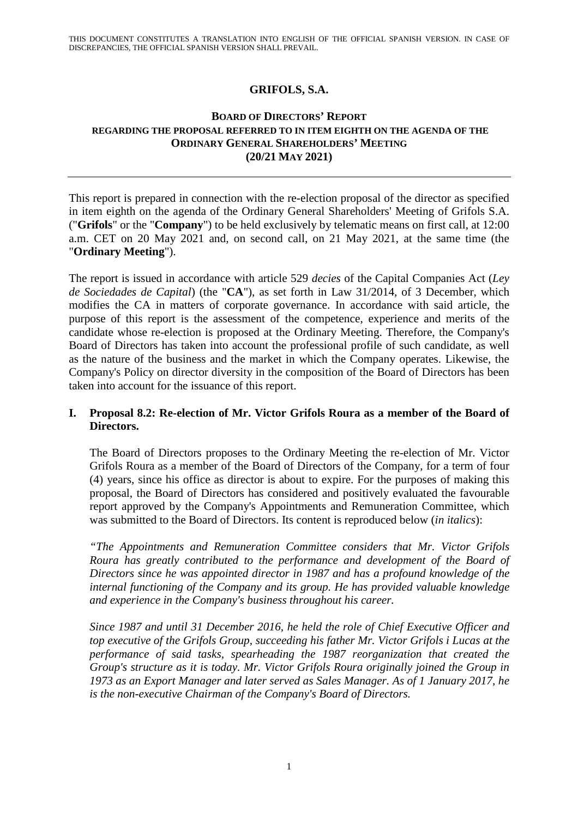## **GRIFOLS, S.A.**

## **BOARD OF DIRECTORS' REPORT REGARDING THE PROPOSAL REFERRED TO IN ITEM EIGHTH ON THE AGENDA OF THE ORDINARY GENERAL SHAREHOLDERS' MEETING (20/21 MAY 2021)**

This report is prepared in connection with the re-election proposal of the director as specified in item eighth on the agenda of the Ordinary General Shareholders' Meeting of Grifols S.A. ("**Grifols**" or the "**Company**") to be held exclusively by telematic means on first call, at 12:00 a.m. CET on 20 May 2021 and, on second call, on 21 May 2021, at the same time (the "**Ordinary Meeting**").

The report is issued in accordance with article 529 *decies* of the Capital Companies Act (*Ley de Sociedades de Capital*) (the "**CA**"), as set forth in Law 31/2014, of 3 December, which modifies the CA in matters of corporate governance. In accordance with said article, the purpose of this report is the assessment of the competence, experience and merits of the candidate whose re-election is proposed at the Ordinary Meeting. Therefore, the Company's Board of Directors has taken into account the professional profile of such candidate, as well as the nature of the business and the market in which the Company operates. Likewise, the Company's Policy on director diversity in the composition of the Board of Directors has been taken into account for the issuance of this report.

## **I. Proposal 8.2: Re-election of Mr. Victor Grifols Roura as a member of the Board of Directors.**

The Board of Directors proposes to the Ordinary Meeting the re-election of Mr. Victor Grifols Roura as a member of the Board of Directors of the Company, for a term of four (4) years, since his office as director is about to expire. For the purposes of making this proposal, the Board of Directors has considered and positively evaluated the favourable report approved by the Company's Appointments and Remuneration Committee, which was submitted to the Board of Directors. Its content is reproduced below (*in italics*):

*"The Appointments and Remuneration Committee considers that Mr. Victor Grifols Roura has greatly contributed to the performance and development of the Board of Directors since he was appointed director in 1987 and has a profound knowledge of the internal functioning of the Company and its group. He has provided valuable knowledge and experience in the Company's business throughout his career.* 

*Since 1987 and until 31 December 2016, he held the role of Chief Executive Officer and top executive of the Grifols Group, succeeding his father Mr. Victor Grifols i Lucas at the performance of said tasks, spearheading the 1987 reorganization that created the Group's structure as it is today. Mr. Victor Grifols Roura originally joined the Group in 1973 as an Export Manager and later served as Sales Manager. As of 1 January 2017, he is the non-executive Chairman of the Company's Board of Directors.*